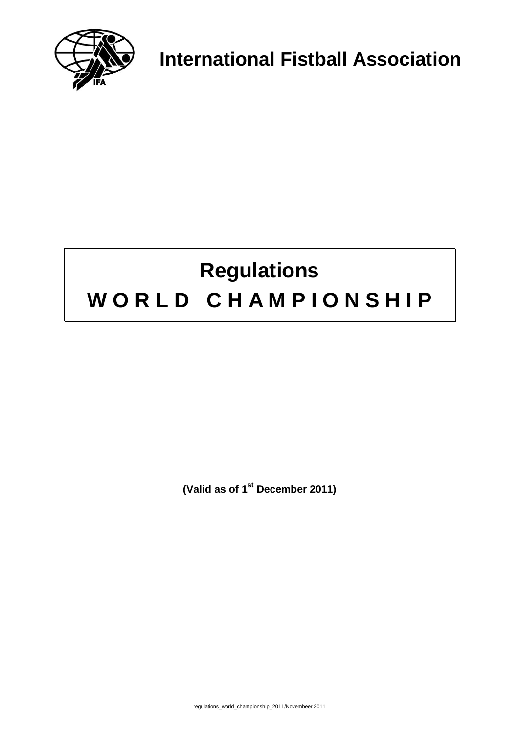

# **Regulations W O R L D C H A M P I O N S H I P**

**(Valid as of 1st December 2011)**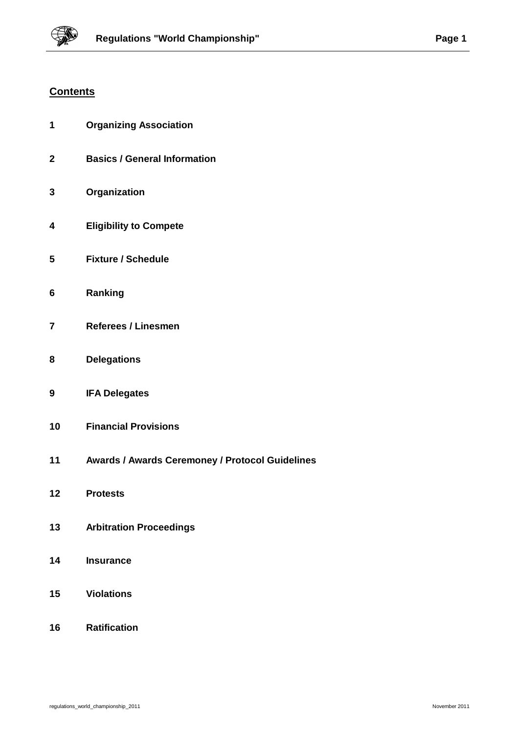## **Contents**

| 1 | <b>Organizing Association</b> |
|---|-------------------------------|
|   |                               |

- **Basics / General Information**
- **Organization**
- **Eligibility to Compete**
- **Fixture / Schedule**
- **Ranking**
- **Referees / Linesmen**
- **Delegations**
- **IFA Delegates**
- **Financial Provisions**
- **Awards / Awards Ceremoney / Protocol Guidelines**
- **Protests**
- **Arbitration Proceedings**
- **Insurance**
- **Violations**
- **Ratification**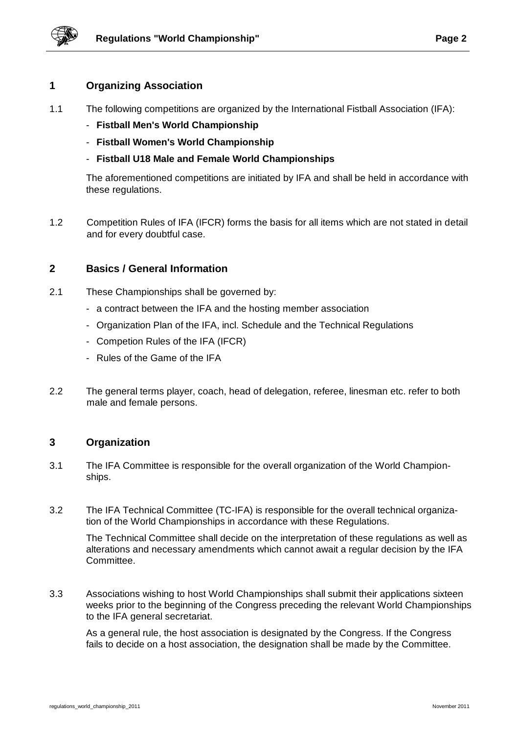

## **1 Organizing Association**

- 1.1 The following competitions are organized by the International Fistball Association (IFA):
	- **Fistball Men's World Championship**
	- **Fistball Women's World Championship**
	- **Fistball U18 Male and Female World Championships**

The aforementioned competitions are initiated by IFA and shall be held in accordance with these regulations.

1.2 Competition Rules of IFA (IFCR) forms the basis for all items which are not stated in detail and for every doubtful case.

#### **2 Basics / General Information**

- 2.1 These Championships shall be governed by:
	- a contract between the IFA and the hosting member association
	- Organization Plan of the IFA, incl. Schedule and the Technical Regulations
	- Competion Rules of the IFA (IFCR)
	- Rules of the Game of the IFA
- 2.2 The general terms player, coach, head of delegation, referee, linesman etc. refer to both male and female persons.

#### **3 Organization**

- 3.1 The IFA Committee is responsible for the overall organization of the World Championships.
- 3.2 The IFA Technical Committee (TC-IFA) is responsible for the overall technical organization of the World Championships in accordance with these Regulations.

The Technical Committee shall decide on the interpretation of these regulations as well as alterations and necessary amendments which cannot await a regular decision by the IFA Committee.

3.3 Associations wishing to host World Championships shall submit their applications sixteen weeks prior to the beginning of the Congress preceding the relevant World Championships to the IFA general secretariat.

As a general rule, the host association is designated by the Congress. If the Congress fails to decide on a host association, the designation shall be made by the Committee.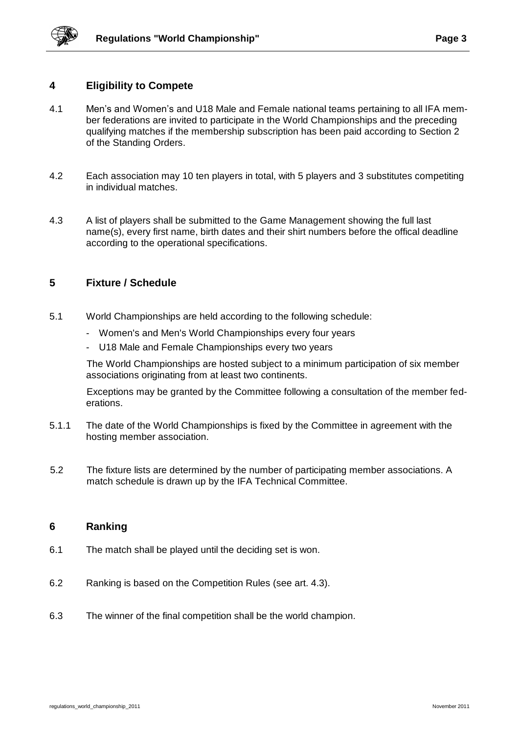## **4 Eligibility to Compete**

- 4.1 Men's and Women's and U18 Male and Female national teams pertaining to all IFA member federations are invited to participate in the World Championships and the preceding qualifying matches if the membership subscription has been paid according to Section 2 of the Standing Orders.
- 4.2 Each association may 10 ten players in total, with 5 players and 3 substitutes competiting in individual matches.
- 4.3 A list of players shall be submitted to the Game Management showing the full last name(s), every first name, birth dates and their shirt numbers before the offical deadline according to the operational specifications.

## **5 Fixture / Schedule**

- 5.1 World Championships are held according to the following schedule:
	- Women's and Men's World Championships every four years
	- U18 Male and Female Championships every two years

The World Championships are hosted subject to a minimum participation of six member associations originating from at least two continents.

Exceptions may be granted by the Committee following a consultation of the member federations.

- 5.1.1 The date of the World Championships is fixed by the Committee in agreement with the hosting member association.
- 5.2 The fixture lists are determined by the number of participating member associations. A match schedule is drawn up by the IFA Technical Committee.

#### **6 Ranking**

- 6.1 The match shall be played until the deciding set is won.
- 6.2 Ranking is based on the Competition Rules (see art. 4.3).
- 6.3 The winner of the final competition shall be the world champion.

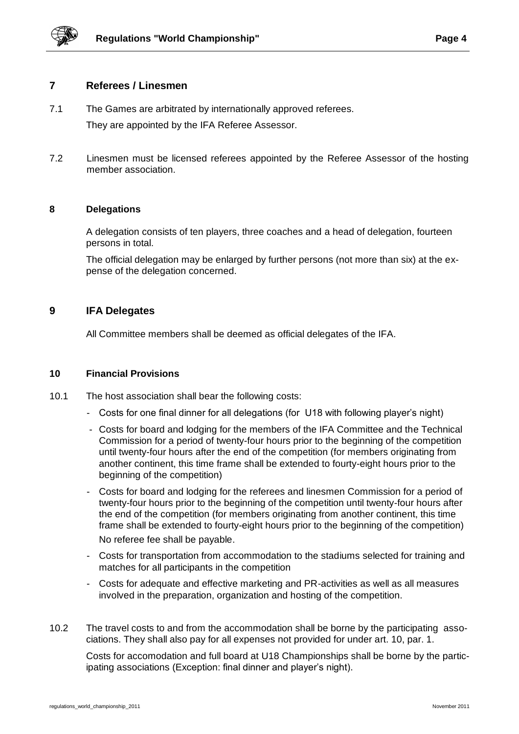

#### **7 Referees / Linesmen**

- 7.1 The Games are arbitrated by internationally approved referees. They are appointed by the IFA Referee Assessor.
- 7.2 Linesmen must be licensed referees appointed by the Referee Assessor of the hosting member association.

#### **8 Delegations**

A delegation consists of ten players, three coaches and a head of delegation, fourteen persons in total.

The official delegation may be enlarged by further persons (not more than six) at the expense of the delegation concerned.

#### **9 IFA Delegates**

All Committee members shall be deemed as official delegates of the IFA.

#### **10 Financial Provisions**

- 10.1 The host association shall bear the following costs:
	- Costs for one final dinner for all delegations (for U18 with following player's night)
	- Costs for board and lodging for the members of the IFA Committee and the Technical Commission for a period of twenty-four hours prior to the beginning of the competition until twenty-four hours after the end of the competition (for members originating from another continent, this time frame shall be extended to fourty-eight hours prior to the beginning of the competition)
	- Costs for board and lodging for the referees and linesmen Commission for a period of twenty-four hours prior to the beginning of the competition until twenty-four hours after the end of the competition (for members originating from another continent, this time frame shall be extended to fourty-eight hours prior to the beginning of the competition) No referee fee shall be payable.
	- Costs for transportation from accommodation to the stadiums selected for training and matches for all participants in the competition
	- Costs for adequate and effective marketing and PR-activities as well as all measures involved in the preparation, organization and hosting of the competition.
- 10.2 The travel costs to and from the accommodation shall be borne by the participating associations. They shall also pay for all expenses not provided for under art. 10, par. 1.

Costs for accomodation and full board at U18 Championships shall be borne by the participating associations (Exception: final dinner and player's night).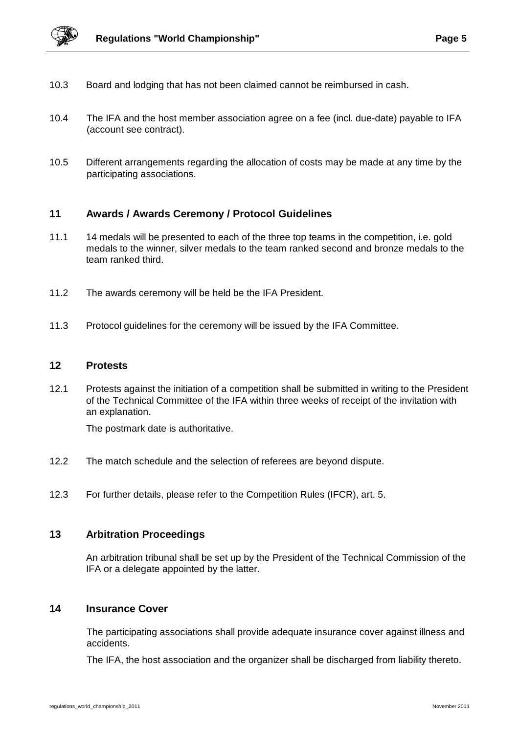

- 10.3 Board and lodging that has not been claimed cannot be reimbursed in cash.
- 10.4 The IFA and the host member association agree on a fee (incl. due-date) payable to IFA (account see contract).
- 10.5 Different arrangements regarding the allocation of costs may be made at any time by the participating associations.

#### **11 Awards / Awards Ceremony / Protocol Guidelines**

- 11.1 14 medals will be presented to each of the three top teams in the competition, i.e. gold medals to the winner, silver medals to the team ranked second and bronze medals to the team ranked third.
- 11.2 The awards ceremony will be held be the IFA President.
- 11.3 Protocol guidelines for the ceremony will be issued by the IFA Committee.

#### **12 Protests**

12.1 Protests against the initiation of a competition shall be submitted in writing to the President of the Technical Committee of the IFA within three weeks of receipt of the invitation with an explanation.

The postmark date is authoritative.

- 12.2 The match schedule and the selection of referees are beyond dispute.
- 12.3 For further details, please refer to the Competition Rules (IFCR), art. 5.

## **13 Arbitration Proceedings**

An arbitration tribunal shall be set up by the President of the Technical Commission of the IFA or a delegate appointed by the latter.

#### **14 Insurance Cover**

The participating associations shall provide adequate insurance cover against illness and accidents.

The IFA, the host association and the organizer shall be discharged from liability thereto.